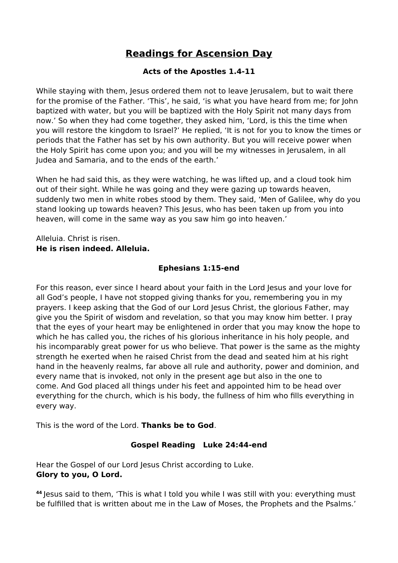# **Readings for Ascension Day**

# **Acts of the Apostles 1.4-11**

While staying with them, Jesus ordered them not to leave Jerusalem, but to wait there for the promise of the Father. 'This', he said, 'is what you have heard from me; for John baptized with water, but you will be baptized with the Holy Spirit not many days from now.' So when they had come together, they asked him, 'Lord, is this the time when you will restore the kingdom to Israel?' He replied, 'It is not for you to know the times or periods that the Father has set by his own authority. But you will receive power when the Holy Spirit has come upon you; and you will be my witnesses in Jerusalem, in all Judea and Samaria, and to the ends of the earth.'

When he had said this, as they were watching, he was lifted up, and a cloud took him out of their sight. While he was going and they were gazing up towards heaven, suddenly two men in white robes stood by them. They said, 'Men of Galilee, why do you stand looking up towards heaven? This Jesus, who has been taken up from you into heaven, will come in the same way as you saw him go into heaven.'

### Alleluia. Christ is risen. **He is risen indeed. Alleluia.**

# **Ephesians 1:15-end**

For this reason, ever since I heard about your faith in the Lord Jesus and your love for all God's people, I have not stopped giving thanks for you, remembering you in my prayers. I keep asking that the God of our Lord Jesus Christ, the glorious Father, may give you the Spirit of wisdom and revelation, so that you may know him better. I pray that the eyes of your heart may be enlightened in order that you may know the hope to which he has called you, the riches of his glorious inheritance in his holy people, and his incomparably great power for us who believe. That power is the same as the mighty strength he exerted when he raised Christ from the dead and seated him at his right hand in the heavenly realms, far above all rule and authority, power and dominion, and every name that is invoked, not only in the present age but also in the one to come. And God placed all things under his feet and appointed him to be head over everything for the church, which is his body, the fullness of him who fills everything in every way.

This is the word of the Lord. **Thanks be to God**.

# **Gospel Reading Luke 24:44-end**

Hear the Gospel of our Lord Jesus Christ according to Luke. **Glory to you, O Lord.** 

**<sup>44</sup>** Jesus said to them, 'This is what I told you while I was still with you: everything must be fulfilled that is written about me in the Law of Moses, the Prophets and the Psalms.'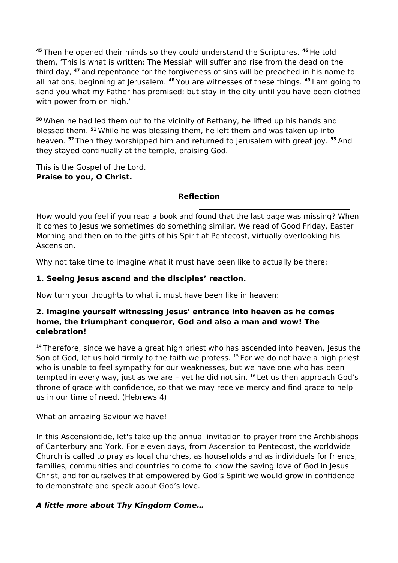**<sup>45</sup>** Then he opened their minds so they could understand the Scriptures. **<sup>46</sup>** He told them, 'This is what is written: The Messiah will suffer and rise from the dead on the third day, **<sup>47</sup>** and repentance for the forgiveness of sins will be preached in his name to all nations, beginning at Jerusalem. **<sup>48</sup>** You are witnesses of these things. **<sup>49</sup>** I am going to send you what my Father has promised; but stay in the city until you have been clothed with power from on high.'

**<sup>50</sup>** When he had led them out to the vicinity of Bethany, he lifted up his hands and blessed them. **<sup>51</sup>** While he was blessing them, he left them and was taken up into heaven. **<sup>52</sup>** Then they worshipped him and returned to Jerusalem with great joy. **<sup>53</sup>** And they stayed continually at the temple, praising God.

This is the Gospel of the Lord. **Praise to you, O Christ.**

### **Reflection**

How would you feel if you read a book and found that the last page was missing? When it comes to Jesus we sometimes do something similar. We read of Good Friday, Easter Morning and then on to the gifts of his Spirit at Pentecost, virtually overlooking his Ascension.

Why not take time to imagine what it must have been like to actually be there:

## **1. Seeing Jesus ascend and the disciples' reaction.**

Now turn your thoughts to what it must have been like in heaven:

### **2. Imagine yourself witnessing Jesus' entrance into heaven as he comes home, the triumphant conqueror, God and also a man and wow! The celebration!**

 $14$  Therefore, since we have a great high priest who has ascended into heaven, Jesus the Son of God, let us hold firmly to the faith we profess. <sup>15</sup> For we do not have a high priest who is unable to feel sympathy for our weaknesses, but we have one who has been tempted in every way, just as we are  $-$  yet he did not sin.  $16$  Let us then approach God's throne of grace with confidence, so that we may receive mercy and find grace to help us in our time of need. (Hebrews 4)

What an amazing Saviour we have!

In this Ascensiontide, let's take up the annual invitation to prayer from the Archbishops of Canterbury and York. For eleven days, from Ascension to Pentecost, the worldwide Church is called to pray as local churches, as households and as individuals for friends, families, communities and countries to come to know the saving love of God in Jesus Christ, and for ourselves that empowered by God's Spirit we would grow in confidence to demonstrate and speak about God's love.

## **A little more about Thy Kingdom Come…**